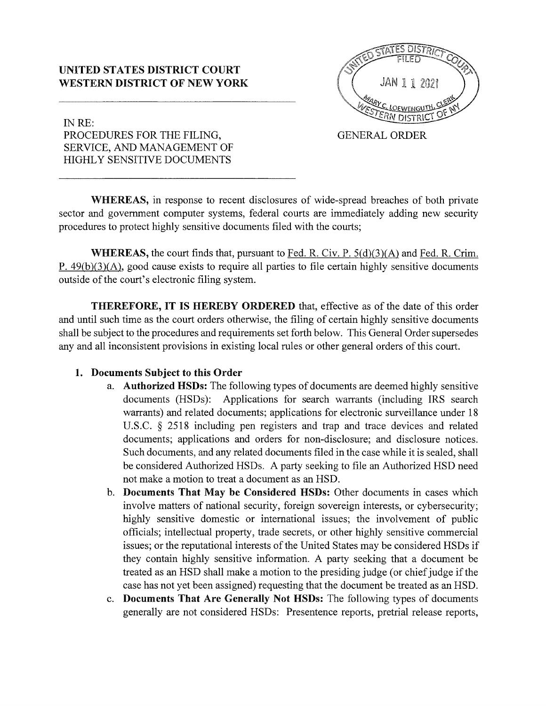#### **UNITED STATES DISTRICT COURT WESTERN DISTRICT OF NEW YORK**



INRE: PROCEDURES FOR THE FILING, SERVICE, AND MANAGEMENT OF HIGHLY SENSITIVE DOCUMENTS

GENERAL ORDER

**WHEREAS,** in response to recent disclosures of wide-spread breaches of both private sector and government computer systems, federal courts are immediately adding new security procedures to protect highly sensitive documents filed with the courts;

**WHEREAS,** the court finds that, pursuant to Fed. R. Civ. P. 5(d)(3)(A) and Fed. R. Crim. P.  $49(b)(3)(A)$ , good cause exists to require all parties to file certain highly sensitive documents outside of the court's electronic filing system.

**THEREFORE, IT IS HEREBY ORDERED** that, effective as of the date of this order and until such time as the court orders otherwise, the filing of certain highly sensitive documents shall be subject to the procedures and requirements set forth below. This General Order supersedes any and all inconsistent provisions in existing local rules or other general orders of this court.

#### **1. Documents Subject to this Order**

- a. **Authorized HSDs:** The following types of documents are deemed highly sensitive documents (HSDs): Applications for search warrants (including IRS search warrants) and related documents; applications for electronic surveillance under 18 U.S.C. § 2518 including pen registers and trap and trace devices and related documents; applications and orders for non-disclosure; and disclosure notices. Such documents, and any related documents filed in the case while it is sealed, shall be considered Authorized HSDs. A party seeking to file an Authorized HSD need not make a motion to treat a document as an HSD.
- b. **Documents That May be Considered HSDs:** Other documents in cases which involve matters of national security, foreign sovereign interests, or cybersecurity; highly sensitive domestic or international issues; the involvement of public officials; intellectual property, trade secrets, or other highly sensitive commercial issues; or the reputational interests of the United States may be considered HSDs if they contain highly sensitive information. A party seeking that a document be treated as an HSD shall make a motion to the presiding judge ( or chief judge if the case has not yet been assigned) requesting that the document be treated as an HSD.
- c. **Documents That Are Generally Not HSDs:** The following types of documents generally are not considered HSDs: Presentence reports, pretrial release reports,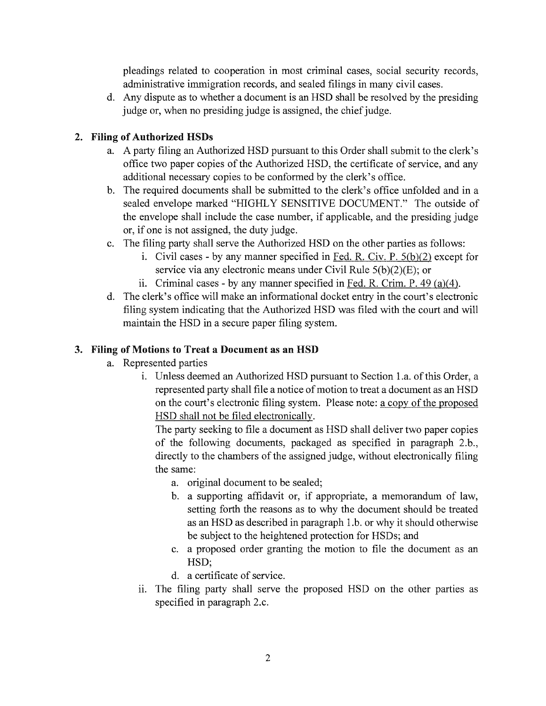pleadings related to cooperation in most criminal cases, social security records, administrative immigration records, and sealed filings in many civil cases.

d. Any dispute as to whether a document is an **HSD** shall be resolved by the presiding judge or, when no presiding judge is assigned, the chief judge.

## **2. Filing of Authorized HSDs**

- a. A party filing an Authorized HSD pursuant to this Order shall submit to the clerk's office two paper copies of the Authorized HSD, the certificate of service, and any additional necessary copies to be conformed by the clerk's office.
- b. The required documents shall be submitted to the clerk's office unfolded and in a sealed envelope marked "HIGHLY SENSITIVE DOCUMENT." The outside of the envelope shall include the case number, if applicable, and the presiding judge or, if one is not assigned, the duty judge.
- c. The filing party shall serve the Authorized HSD on the other parties as follows:
	- i. Civil cases by any manner specified in Fed. R. Civ. P.  $5(b)(2)$  except for service via any electronic means under Civil Rule  $5(b)(2)(E)$ ; or
	- ii. Criminal cases by any manner specified in Fed. R. Crim. P. 49 (a)(4).
- d. The clerk's office will make an informational docket entry in the court's electronic filing system indicating that the Authorized HSD was filed with the court and will maintain the HSD in a secure paper filing system.

# 3. Filing of Motions to Treat a Document as an HSD

- a. Represented parties
	- 1. Unless deemed an Authorized HSD pursuant to Section l.a. of this Order, a represented party shall file a notice of motion to treat a document as an HSD on the court's electronic filing system. Please note: a copy of the proposed HSD shall not be filed electronically.

The party seeking to file a document as HSD shall deliver two paper copies of the following documents, packaged as specified in paragraph 2.b., directly to the chambers of the assigned judge, without electronically filing the same:

- a. original document to be sealed;
- b. a supporting affidavit or, if appropriate, a memorandum of law, setting forth the reasons as to why the document should be treated as an HSD as described in paragraph 1. b. or why it should otherwise be subject to the heightened protection for HSDs; and
- c. a proposed order granting the motion to file the document as an HSD;
- d. a certificate of service.
- ii. The filing party shall serve the proposed HSD on the other parties as specified in paragraph 2.c.